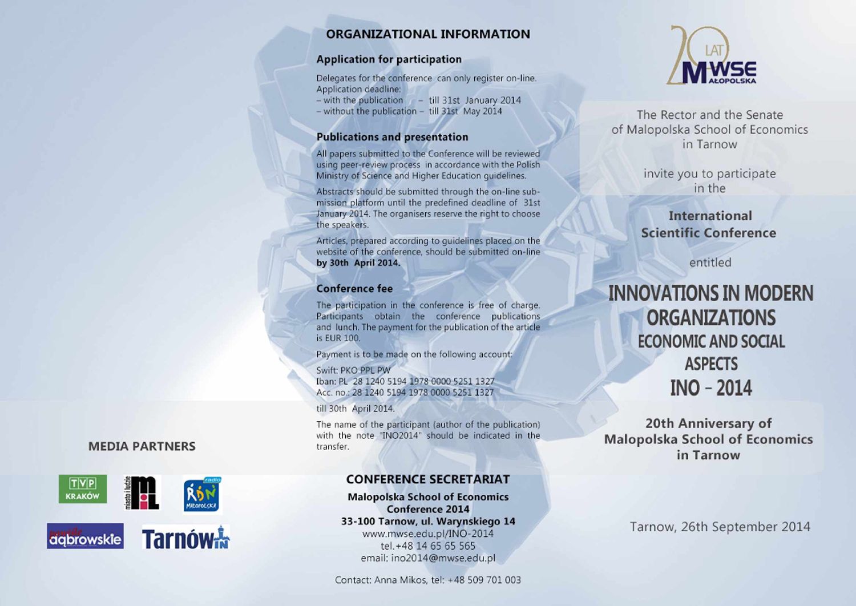### **ORGANIZATIONAL INFORMATION**

### Application for participation

Delegates for the conference can only register on-line. Application deadline:

 $-$  with the publication  $-$  till 31st January 2014

 $-$  without the publication  $-$  till 31st May 2014

#### Publications and presentation

Ali papers submitted to the Conference will be reviewed using peer-review process in accordance with the Polish Ministry of Science and Higher Education guidelines.

Abstracts should be submitted through the on-line submission platform until the predefined deadline of 31st January' 2014. The organisers reserve the right to choose the speakers.

Articles, prepared according to guidelines placed on the website of the conference, should be submitted on-line by 30th April 2014.

#### Conference fee

The participation in the conference is free of charge. Participants obtain the conference publications and lunch. The payment for the publication of the article is EUR 100.

Payment is to be made on the following account:

Swift: PKO PPL PW Iban: PL 28 1240 5194 1978 0000 5251 1327 Acc. no.: 28 1240 5194 1978 0000 5251 1327

till 30th April 2014.

The name of the participant (author of the publication) with the note "INO2014" should be indicated in the transfer.

### **CONFERENCE SECRETARIAT**

Małopolska School of Economics Conference 2014 33-100 Tarnow, ul. Warynskiego 14 www.mwse.edu.pl/INO-2014 tel.+48 14 65 65 565 email: [ino2014@mwse.edu.pl](mailto:ino2014@mwse.edu.pl)

Contact: Anna Mikos, tel: +48 509 701 003



The Rector and the Senate of Małopolska School of Economics in Tarnów

> invite you to participate in the

## **International Scientific Conference**

entitled

# **INN0VATI0NSIN MODERN 0RGANIZATI0NS** EC0N0MIC AND S0CIAL **ASPECTS**<br>**INO** – 201  **INO - 2014**

**20th Anniversary of Małopolska School of Economics in Tarnów**

Tarnow, 26th September 2014

### **MEDIA PARTNERS**